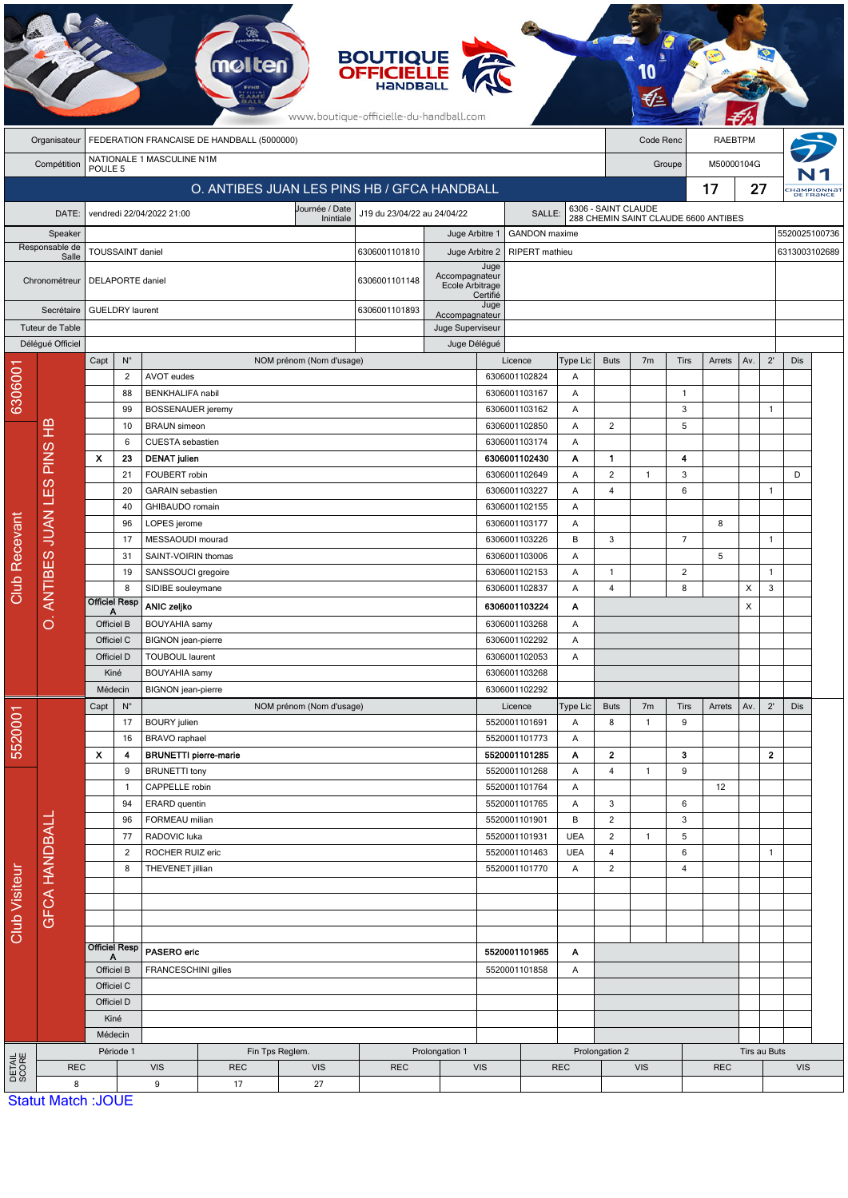|                                             |                             |           |                                                                         |                                   |                                                   | mol                                                        |                          | <b>BOUTIQUE<br/>OFFICIELLE</b> |                                          |                      |                                 |                 |                                      |                     |                |                       |              |                |     |                                     |
|---------------------------------------------|-----------------------------|-----------|-------------------------------------------------------------------------|-----------------------------------|---------------------------------------------------|------------------------------------------------------------|--------------------------|--------------------------------|------------------------------------------|----------------------|---------------------------------|-----------------|--------------------------------------|---------------------|----------------|-----------------------|--------------|----------------|-----|-------------------------------------|
|                                             |                             |           | www.boutique-officielle-du-handball.com                                 |                                   |                                                   |                                                            |                          |                                |                                          |                      |                                 |                 |                                      |                     |                |                       |              |                |     |                                     |
|                                             | Organisateur<br>Compétition |           | FEDERATION FRANCAISE DE HANDBALL (5000000)<br>NATIONALE 1 MASCULINE N1M |                                   |                                                   |                                                            |                          |                                |                                          |                      |                                 |                 |                                      | Code Renc<br>Groupe |                | RAEBTPM<br>M50000104G |              |                |     |                                     |
|                                             |                             |           | POULE <sub>5</sub><br>O. ANTIBES JUAN LES PINS HB / GFCA HANDBALL       |                                   |                                                   |                                                            |                          |                                |                                          |                      |                                 |                 |                                      |                     |                | 17                    | 27           |                |     |                                     |
|                                             |                             |           |                                                                         |                                   | vendredi 22/04/2022 21:00                         |                                                            | Journée / Date           |                                |                                          |                      | SALLE:                          |                 |                                      | 6306 - SAINT CLAUDE |                |                       |              |                |     | Hampionna <sup>.</sup><br>DE FRANCE |
| DATE:<br>Speaker<br>Responsable de<br>Salle |                             |           |                                                                         |                                   |                                                   | J19 du 23/04/22 au 24/04/22<br>Inintiale<br>Juge Arbitre 1 |                          |                                |                                          | <b>GANDON</b> maxime |                                 |                 | 288 CHEMIN SAINT CLAUDE 6600 ANTIBES |                     |                |                       |              | 5520025100736  |     |                                     |
|                                             |                             |           | TOUSSAINT daniel                                                        |                                   |                                                   |                                                            |                          | 6306001101810                  | Juge Arbitre 2                           |                      | RIPERT mathieu<br>6313003102689 |                 |                                      |                     |                |                       |              |                |     |                                     |
| Chronométreur                               |                             |           | DELAPORTE daniel                                                        |                                   |                                                   |                                                            |                          | 6306001101148                  | Accompagnateur<br>Ecole Arbitrage        | Juge<br>Certifié     |                                 |                 |                                      |                     |                |                       |              |                |     |                                     |
| Secrétaire<br>Tuteur de Table               |                             |           | <b>GUELDRY</b> laurent                                                  |                                   |                                                   |                                                            |                          | 6306001101893                  | Accompagnateur<br>Juge Superviseur       | Juge                 |                                 |                 |                                      |                     |                |                       |              |                |     |                                     |
| Délégué Officiel                            |                             |           | Capt                                                                    | $\mathsf{N}^\circ$                |                                                   |                                                            | NOM prénom (Nom d'usage) |                                | Juge Délégué                             |                      | Licence                         | Type Lic        | <b>Buts</b>                          | 7 <sub>m</sub>      | Tirs           | Arrets                | Av.          | $2^{\prime}$   | Dis |                                     |
|                                             |                             |           |                                                                         | $\overline{2}$                    | AVOT eudes                                        |                                                            |                          |                                |                                          |                      | 6306001102824                   | Α               |                                      |                     |                |                       |              |                |     |                                     |
| 6306001                                     |                             |           |                                                                         | 88                                | <b>BENKHALIFA nabil</b>                           |                                                            |                          |                                |                                          |                      | 6306001103167                   | Α               |                                      |                     | $\overline{1}$ |                       |              |                |     |                                     |
|                                             | മ<br>Ξ                      |           | 99<br>10                                                                |                                   | <b>BOSSENAUER</b> jeremy<br><b>BRAUN</b> simeon   |                                                            |                          |                                |                                          |                      | 6306001103162                   | Α               |                                      |                     | 3              |                       |              | $\mathbf{1}$   |     |                                     |
|                                             |                             |           |                                                                         | 6                                 | <b>CUESTA</b> sebastien                           |                                                            |                          |                                |                                          |                      | 6306001102850<br>6306001103174  | Α<br>Α          | $\overline{c}$                       |                     | 5              |                       |              |                |     |                                     |
|                                             | <b>PINS</b>                 |           | $\boldsymbol{\mathsf{x}}$<br>23                                         |                                   | <b>DENAT julien</b>                               |                                                            |                          |                                |                                          |                      | 6306001102430                   | Α               | $\mathbf{1}$                         |                     | 4              |                       |              |                |     |                                     |
|                                             |                             |           | 21                                                                      |                                   | FOUBERT robin                                     |                                                            |                          |                                |                                          |                      | 6306001102649                   | Α               | $\overline{c}$                       | $\mathbf{1}$        | 3              |                       |              |                | D   |                                     |
|                                             |                             |           |                                                                         | 20                                | <b>GARAIN</b> sebastien                           |                                                            |                          |                                |                                          |                      | 6306001103227                   | Α               | $\overline{4}$                       |                     | 6              |                       |              | $\mathbf{1}$   |     |                                     |
|                                             |                             |           |                                                                         | 40                                |                                                   | GHIBAUDO romain                                            |                          |                                |                                          | 6306001102155        |                                 | A<br>Α          |                                      |                     |                |                       |              |                |     |                                     |
|                                             |                             |           | 96<br>17                                                                |                                   | LOPES jerome<br>MESSAOUDI mourad                  |                                                            |                          |                                |                                          |                      | 6306001103177<br>6306001103226  |                 | 3                                    |                     | $\overline{7}$ | 8                     |              | $\overline{1}$ |     |                                     |
|                                             | O. ANTIBES JUAN LES         |           |                                                                         | 31                                | SAINT-VOIRIN thomas                               |                                                            |                          |                                |                                          |                      | 6306001103006<br>Α              |                 |                                      |                     |                | 5                     |              |                |     |                                     |
|                                             |                             |           |                                                                         | 19                                | SANSSOUCI gregoire                                |                                                            |                          |                                |                                          |                      | 6306001102153                   | Α               | $\mathbf{1}$                         |                     | 2              |                       |              | $\mathbf{1}$   |     |                                     |
| Club Recevant                               |                             |           |                                                                         | 8                                 | SIDIBE souleymane                                 |                                                            |                          |                                |                                          |                      | 6306001102837                   | A               | 4                                    |                     | 8              |                       | X            | 3              |     |                                     |
|                                             |                             |           | <b>Officiel Resp</b><br>А                                               |                                   | <b>ANIC zeljko</b>                                |                                                            |                          |                                |                                          | 6306001103224<br>Α   |                                 |                 |                                      |                     |                |                       |              |                |     |                                     |
|                                             |                             |           | Officiel B<br>Officiel C                                                |                                   | <b>BOUYAHIA</b> samy<br><b>BIGNON</b> jean-pierre |                                                            |                          |                                | 6306001103268<br>Α<br>6306001102292<br>Α |                      |                                 |                 |                                      |                     |                |                       |              |                |     |                                     |
|                                             |                             |           | Officiel D                                                              |                                   | <b>TOUBOUL laurent</b>                            |                                                            |                          |                                | 6306001102053                            |                      | Α                               |                 |                                      |                     |                |                       |              |                |     |                                     |
|                                             |                             |           | Kiné                                                                    |                                   | <b>BOUYAHIA</b> samy                              |                                                            |                          |                                | 6306001103268                            |                      |                                 |                 |                                      |                     |                |                       |              |                |     |                                     |
|                                             |                             |           | Médecin                                                                 |                                   | <b>BIGNON</b> jean-pierre                         |                                                            |                          |                                | 6306001102292                            |                      |                                 |                 |                                      |                     |                |                       |              |                |     |                                     |
|                                             |                             |           | $N^{\circ}$<br>Capt                                                     |                                   |                                                   |                                                            | NOM prénom (Nom d'usage) |                                |                                          |                      | Licence                         | Type Lic        | <b>Buts</b>                          | 7 <sub>m</sub>      | Tirs           | Arrets                | Av.          | $2^{\prime}$   | Dis |                                     |
|                                             |                             |           | 17                                                                      |                                   | <b>BOURY</b> julien                               |                                                            |                          |                                |                                          |                      | 5520001101691                   | Α               | 8                                    | $\mathbf{1}$        | 9              |                       |              |                |     |                                     |
| 5520001                                     |                             |           | X                                                                       | 16<br>4                           | BRAVO raphael<br><b>BRUNETTI pierre-marie</b>     |                                                            |                          |                                |                                          |                      | 5520001101773<br>5520001101285  | Α<br>Α          | 2                                    |                     | з              |                       |              | $\mathbf{2}$   |     |                                     |
|                                             |                             |           |                                                                         | 9                                 | <b>BRUNETTI</b> tony                              |                                                            |                          |                                |                                          |                      | 5520001101268                   | Α               | $\overline{\mathbf{4}}$              | $\mathbf{1}$        | 9              |                       |              |                |     |                                     |
| Club Visiteur                               |                             |           |                                                                         | $\mathbf{1}$                      | CAPPELLE robin                                    |                                                            |                          |                                |                                          |                      | 5520001101764                   | A               |                                      |                     |                | 12                    |              |                |     |                                     |
|                                             |                             |           | 94                                                                      |                                   | ERARD quentin                                     |                                                            |                          |                                |                                          |                      | 5520001101765                   | A               | 3                                    |                     | 6              |                       |              |                |     |                                     |
|                                             |                             |           |                                                                         | 96<br>77                          | FORMEAU milian<br>RADOVIC luka                    |                                                            |                          |                                |                                          |                      | 5520001101901<br>5520001101931  | В<br><b>UEA</b> | $\overline{c}$<br>$\mathbf 2$        | $\mathbf{1}$        | 3<br>5         |                       |              |                |     |                                     |
|                                             | <b>GFCA HANDBALI</b>        |           | $\overline{c}$                                                          |                                   | ROCHER RUIZ eric                                  |                                                            |                          |                                |                                          |                      | 5520001101463                   | <b>UEA</b>      | $\overline{\mathbf{4}}$              |                     | 6              |                       |              | $\mathbf{1}$   |     |                                     |
|                                             |                             |           | 8<br>THEVENET jillian                                                   |                                   |                                                   |                                                            | 5520001101770            |                                | Α                                        | $\overline{c}$       |                                 | 4               |                                      |                     |                |                       |              |                |     |                                     |
|                                             |                             |           |                                                                         |                                   |                                                   |                                                            |                          |                                |                                          |                      |                                 |                 |                                      |                     |                |                       |              |                |     |                                     |
|                                             |                             |           |                                                                         |                                   |                                                   |                                                            |                          |                                |                                          |                      |                                 |                 |                                      |                     |                |                       |              |                |     |                                     |
|                                             |                             |           |                                                                         |                                   |                                                   |                                                            |                          |                                |                                          |                      |                                 |                 |                                      |                     |                |                       |              |                |     |                                     |
|                                             |                             |           | <b>Officiel Resp</b>                                                    |                                   | PASERO eric                                       |                                                            |                          |                                |                                          | 5520001101965        |                                 | Α               |                                      |                     |                |                       |              |                |     |                                     |
|                                             |                             |           | Officiel B<br>FRANCESCHINI gilles                                       |                                   |                                                   |                                                            |                          |                                |                                          | 5520001101858        | Α                               |                 |                                      |                     |                |                       |              |                |     |                                     |
|                                             |                             |           | Officiel C                                                              |                                   |                                                   |                                                            |                          |                                |                                          |                      |                                 |                 |                                      |                     |                |                       |              |                |     |                                     |
|                                             |                             |           | Officiel D<br>Kiné                                                      |                                   |                                                   |                                                            |                          |                                |                                          |                      |                                 |                 |                                      |                     |                |                       |              |                |     |                                     |
|                                             |                             |           | Médecin                                                                 |                                   |                                                   |                                                            |                          |                                |                                          |                      |                                 |                 |                                      |                     |                |                       |              |                |     |                                     |
|                                             |                             | Période 1 |                                                                         | Fin Tps Reglem.<br>Prolongation 1 |                                                   |                                                            |                          |                                |                                          | Prolongation 2       |                                 |                 |                                      |                     |                |                       | Tirs au Buts |                |     |                                     |
| DETAIL<br>SCORE                             | <b>REC</b>                  |           |                                                                         |                                   | <b>VIS</b>                                        | <b>REC</b>                                                 | <b>VIS</b>               | <b>REC</b>                     |                                          | <b>VIS</b>           |                                 | <b>REC</b>      | <b>VIS</b>                           |                     |                | <b>REC</b>            |              | <b>VIS</b>     |     |                                     |
|                                             | 8                           |           | <b>Statut Match: JOUE</b>                                               |                                   | 9                                                 | 17                                                         | 27                       |                                |                                          |                      |                                 |                 |                                      |                     |                |                       |              |                |     |                                     |

Statut Match